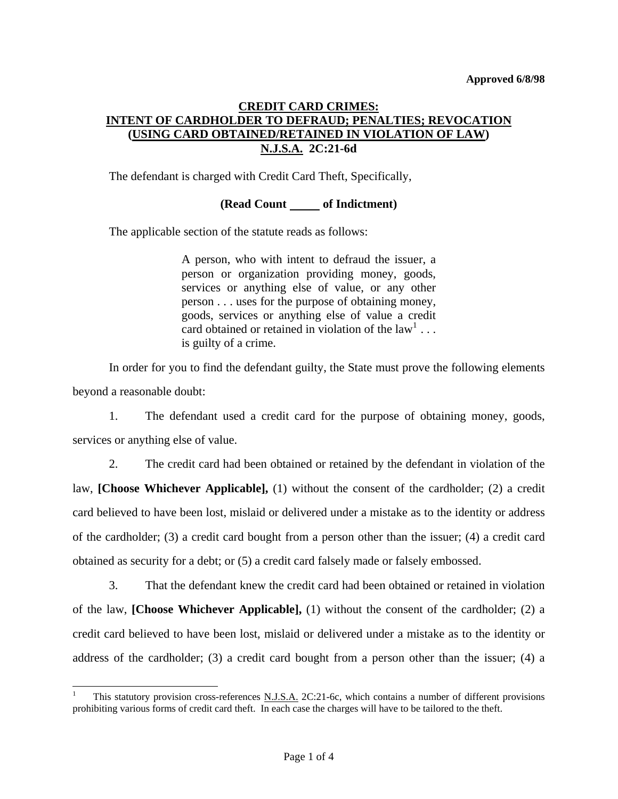# **CREDIT CARD CRIMES: INTENT OF CARDHOLDER TO DEFRAUD; PENALTIES; REVOCATION (USING CARD OBTAINED/RETAINED IN VIOLATION OF LAW) N.J.S.A. 2C:21-6d**

The defendant is charged with Credit Card Theft, Specifically,

## **(Read Count of Indictment)**

The applicable section of the statute reads as follows:

A person, who with intent to defraud the issuer, a person or organization providing money, goods, services or anything else of value, or any other person . . . uses for the purpose of obtaining money, goods, services or anything else of value a credit card obtained or retained in violation of the  $law<sup>1</sup> \dots$  $law<sup>1</sup> \dots$  $law<sup>1</sup> \dots$ is guilty of a crime.

 In order for you to find the defendant guilty, the State must prove the following elements beyond a reasonable doubt:

 1. The defendant used a credit card for the purpose of obtaining money, goods, services or anything else of value.

 2. The credit card had been obtained or retained by the defendant in violation of the law, **[Choose Whichever Applicable],** (1) without the consent of the cardholder; (2) a credit card believed to have been lost, mislaid or delivered under a mistake as to the identity or address of the cardholder; (3) a credit card bought from a person other than the issuer; (4) a credit card obtained as security for a debt; or (5) a credit card falsely made or falsely embossed.

 3. That the defendant knew the credit card had been obtained or retained in violation of the law, **[Choose Whichever Applicable],** (1) without the consent of the cardholder; (2) a credit card believed to have been lost, mislaid or delivered under a mistake as to the identity or address of the cardholder; (3) a credit card bought from a person other than the issuer; (4) a

 $\overline{\phantom{a}}$ 

<span id="page-0-0"></span><sup>1</sup> This statutory provision cross-references N.J.S.A. 2C:21-6c, which contains a number of different provisions prohibiting various forms of credit card theft. In each case the charges will have to be tailored to the theft.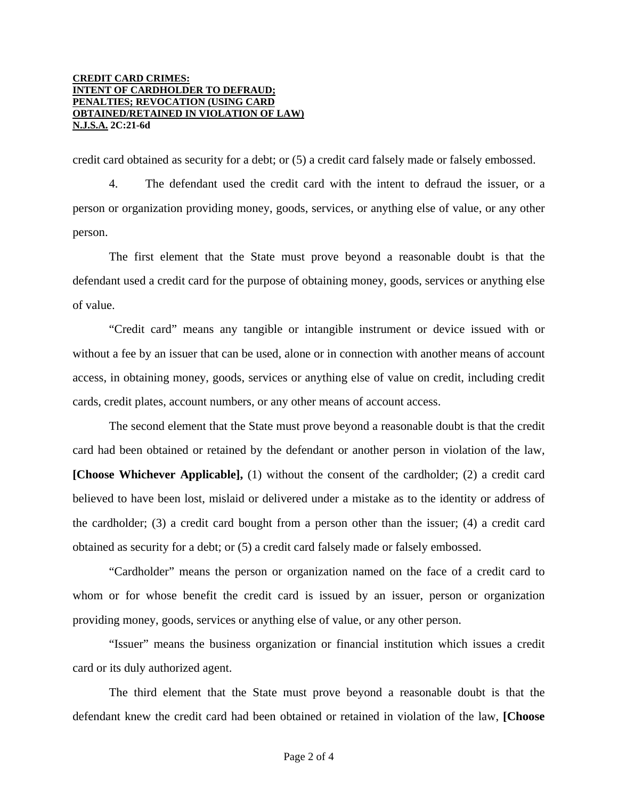#### **CREDIT CARD CRIMES: INTENT OF CARDHOLDER TO DEFRAUD; PENALTIES; REVOCATION (USING CARD OBTAINED/RETAINED IN VIOLATION OF LAW) N.J.S.A. 2C:21-6d**

credit card obtained as security for a debt; or (5) a credit card falsely made or falsely embossed.

 4. The defendant used the credit card with the intent to defraud the issuer, or a person or organization providing money, goods, services, or anything else of value, or any other person.

 The first element that the State must prove beyond a reasonable doubt is that the defendant used a credit card for the purpose of obtaining money, goods, services or anything else of value.

 "Credit card" means any tangible or intangible instrument or device issued with or without a fee by an issuer that can be used, alone or in connection with another means of account access, in obtaining money, goods, services or anything else of value on credit, including credit cards, credit plates, account numbers, or any other means of account access.

 The second element that the State must prove beyond a reasonable doubt is that the credit card had been obtained or retained by the defendant or another person in violation of the law, **[Choose Whichever Applicable],** (1) without the consent of the cardholder; (2) a credit card believed to have been lost, mislaid or delivered under a mistake as to the identity or address of the cardholder; (3) a credit card bought from a person other than the issuer; (4) a credit card obtained as security for a debt; or (5) a credit card falsely made or falsely embossed.

 "Cardholder" means the person or organization named on the face of a credit card to whom or for whose benefit the credit card is issued by an issuer, person or organization providing money, goods, services or anything else of value, or any other person.

 "Issuer" means the business organization or financial institution which issues a credit card or its duly authorized agent.

 The third element that the State must prove beyond a reasonable doubt is that the defendant knew the credit card had been obtained or retained in violation of the law, **[Choose**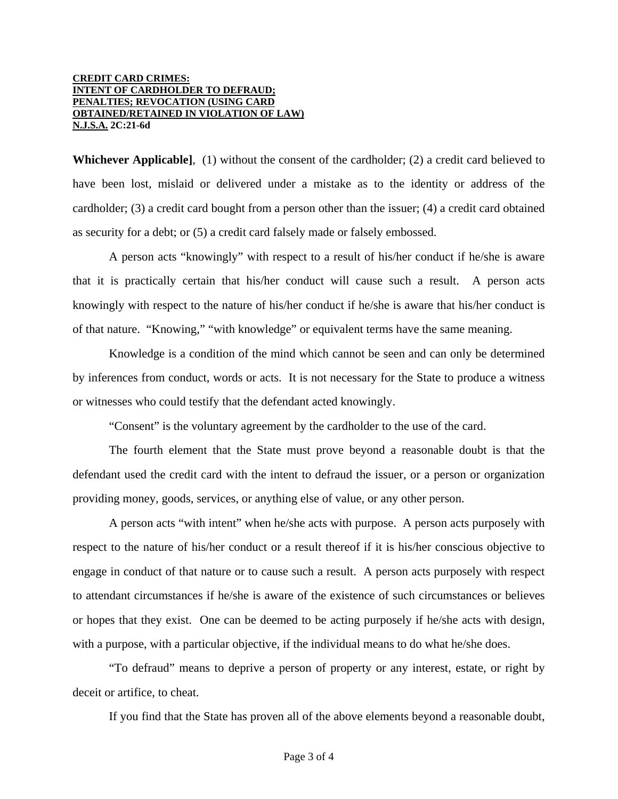#### **CREDIT CARD CRIMES: INTENT OF CARDHOLDER TO DEFRAUD; PENALTIES; REVOCATION (USING CARD OBTAINED/RETAINED IN VIOLATION OF LAW) N.J.S.A. 2C:21-6d**

**Whichever Applicable]**, (1) without the consent of the cardholder; (2) a credit card believed to have been lost, mislaid or delivered under a mistake as to the identity or address of the cardholder; (3) a credit card bought from a person other than the issuer; (4) a credit card obtained as security for a debt; or (5) a credit card falsely made or falsely embossed.

 A person acts "knowingly" with respect to a result of his/her conduct if he/she is aware that it is practically certain that his/her conduct will cause such a result. A person acts knowingly with respect to the nature of his/her conduct if he/she is aware that his/her conduct is of that nature. "Knowing," "with knowledge" or equivalent terms have the same meaning.

 Knowledge is a condition of the mind which cannot be seen and can only be determined by inferences from conduct, words or acts. It is not necessary for the State to produce a witness or witnesses who could testify that the defendant acted knowingly.

"Consent" is the voluntary agreement by the cardholder to the use of the card.

 The fourth element that the State must prove beyond a reasonable doubt is that the defendant used the credit card with the intent to defraud the issuer, or a person or organization providing money, goods, services, or anything else of value, or any other person.

 A person acts "with intent" when he/she acts with purpose. A person acts purposely with respect to the nature of his/her conduct or a result thereof if it is his/her conscious objective to engage in conduct of that nature or to cause such a result. A person acts purposely with respect to attendant circumstances if he/she is aware of the existence of such circumstances or believes or hopes that they exist. One can be deemed to be acting purposely if he/she acts with design, with a purpose, with a particular objective, if the individual means to do what he/she does.

 "To defraud" means to deprive a person of property or any interest, estate, or right by deceit or artifice, to cheat.

If you find that the State has proven all of the above elements beyond a reasonable doubt,